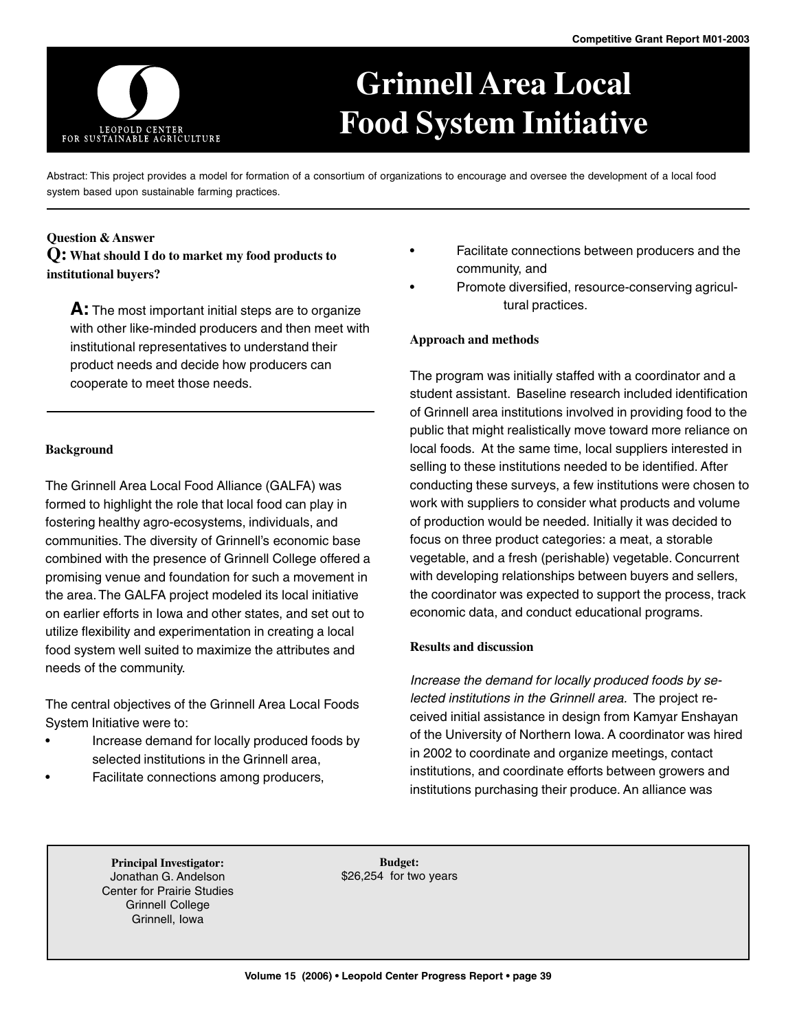

# **Grinnell Area Local Food System Initiative**

Abstract: This project provides a model for formation of a consortium of organizations to encourage and oversee the development of a local food system based upon sustainable farming practices.

## **Question & Answer**

**Q: What should I do to market my food products to institutional buyers?**

**A:** The most important initial steps are to organize with other like-minded producers and then meet with institutional representatives to understand their product needs and decide how producers can cooperate to meet those needs.

#### **Background**

The Grinnell Area Local Food Alliance (GALFA) was formed to highlight the role that local food can play in fostering healthy agro-ecosystems, individuals, and communities. The diversity of Grinnell's economic base combined with the presence of Grinnell College offered a promising venue and foundation for such a movement in the area. The GALFA project modeled its local initiative on earlier efforts in Iowa and other states, and set out to utilize flexibility and experimentation in creating a local food system well suited to maximize the attributes and needs of the community.

The central objectives of the Grinnell Area Local Foods System Initiative were to:

- Increase demand for locally produced foods by selected institutions in the Grinnell area,
- Facilitate connections among producers,
- Facilitate connections between producers and the community, and
- Promote diversified, resource-conserving agricultural practices.

## **Approach and methods**

The program was initially staffed with a coordinator and a student assistant. Baseline research included identification of Grinnell area institutions involved in providing food to the public that might realistically move toward more reliance on local foods. At the same time, local suppliers interested in selling to these institutions needed to be identified. After conducting these surveys, a few institutions were chosen to work with suppliers to consider what products and volume of production would be needed. Initially it was decided to focus on three product categories: a meat, a storable vegetable, and a fresh (perishable) vegetable. Concurrent with developing relationships between buyers and sellers, the coordinator was expected to support the process, track economic data, and conduct educational programs.

#### **Results and discussion**

Increase the demand for locally produced foods by selected institutions in the Grinnell area. The project received initial assistance in design from Kamyar Enshayan of the University of Northern Iowa. A coordinator was hired in 2002 to coordinate and organize meetings, contact institutions, and coordinate efforts between growers and institutions purchasing their produce. An alliance was

**Principal Investigator:** Jonathan G. Andelson Center for Prairie Studies Grinnell College Grinnell, Iowa

**Budget:** \$26,254 for two years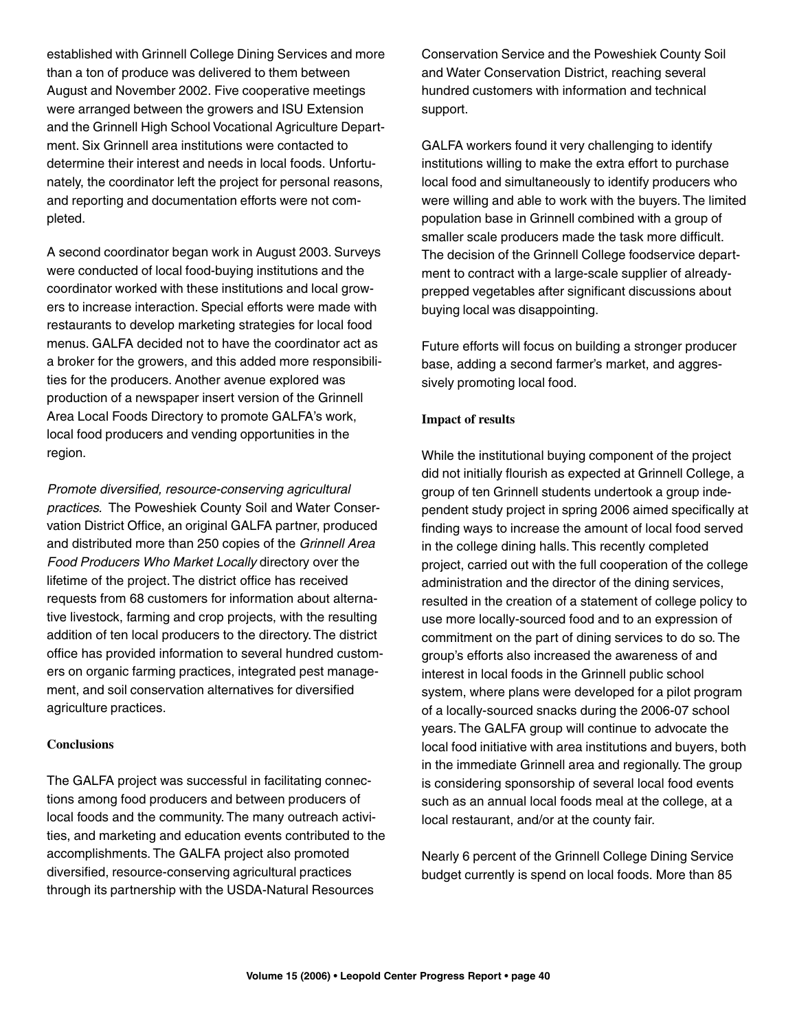established with Grinnell College Dining Services and more than a ton of produce was delivered to them between August and November 2002. Five cooperative meetings were arranged between the growers and ISU Extension and the Grinnell High School Vocational Agriculture Department. Six Grinnell area institutions were contacted to determine their interest and needs in local foods. Unfortunately, the coordinator left the project for personal reasons, and reporting and documentation efforts were not completed.

A second coordinator began work in August 2003. Surveys were conducted of local food-buying institutions and the coordinator worked with these institutions and local growers to increase interaction. Special efforts were made with restaurants to develop marketing strategies for local food menus. GALFA decided not to have the coordinator act as a broker for the growers, and this added more responsibilities for the producers. Another avenue explored was production of a newspaper insert version of the Grinnell Area Local Foods Directory to promote GALFA's work, local food producers and vending opportunities in the region.

Promote diversified, resource-conserving agricultural practices. The Poweshiek County Soil and Water Conservation District Office, an original GALFA partner, produced and distributed more than 250 copies of the Grinnell Area Food Producers Who Market Locally directory over the lifetime of the project. The district office has received requests from 68 customers for information about alternative livestock, farming and crop projects, with the resulting addition of ten local producers to the directory. The district office has provided information to several hundred customers on organic farming practices, integrated pest management, and soil conservation alternatives for diversified agriculture practices.

## **Conclusions**

The GALFA project was successful in facilitating connections among food producers and between producers of local foods and the community. The many outreach activities, and marketing and education events contributed to the accomplishments. The GALFA project also promoted diversified, resource-conserving agricultural practices through its partnership with the USDA-Natural Resources

Conservation Service and the Poweshiek County Soil and Water Conservation District, reaching several hundred customers with information and technical support.

GALFA workers found it very challenging to identify institutions willing to make the extra effort to purchase local food and simultaneously to identify producers who were willing and able to work with the buyers. The limited population base in Grinnell combined with a group of smaller scale producers made the task more difficult. The decision of the Grinnell College foodservice department to contract with a large-scale supplier of alreadyprepped vegetables after significant discussions about buying local was disappointing.

Future efforts will focus on building a stronger producer base, adding a second farmer's market, and aggressively promoting local food.

#### **Impact of results**

While the institutional buying component of the project did not initially flourish as expected at Grinnell College, a group of ten Grinnell students undertook a group independent study project in spring 2006 aimed specifically at finding ways to increase the amount of local food served in the college dining halls. This recently completed project, carried out with the full cooperation of the college administration and the director of the dining services, resulted in the creation of a statement of college policy to use more locally-sourced food and to an expression of commitment on the part of dining services to do so. The group's efforts also increased the awareness of and interest in local foods in the Grinnell public school system, where plans were developed for a pilot program of a locally-sourced snacks during the 2006-07 school years. The GALFA group will continue to advocate the local food initiative with area institutions and buyers, both in the immediate Grinnell area and regionally. The group is considering sponsorship of several local food events such as an annual local foods meal at the college, at a local restaurant, and/or at the county fair.

Nearly 6 percent of the Grinnell College Dining Service budget currently is spend on local foods. More than 85